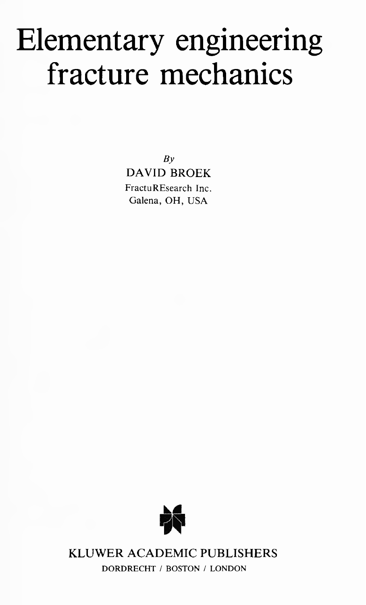# Elementary engineering fracture mechanics

*By* DAVID BROEK FractuREsearch Inc. Galena, OH, USA



KLUWER ACADEMIC PUBLISHERS **DORDRECHT / BOSTON / LONDON**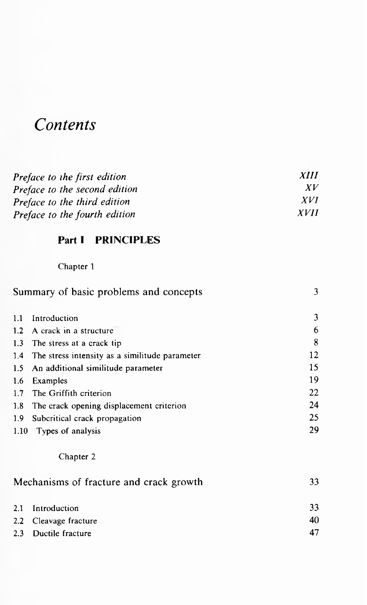## *Contents*

| Preface to the first edition  | <i>XIII</i> |
|-------------------------------|-------------|
| Preface to the second edition | XV          |
| Preface to the third edition  | <i>XVI</i>  |
| Preface to the fourth edition | <i>XVII</i> |

#### **Part I PRINCIPLES**

#### Chapter <sup>1</sup>

| Summary of basic problems and concepts |                                                    | 3  |
|----------------------------------------|----------------------------------------------------|----|
| 1.1                                    | Introduction                                       | 3  |
|                                        | 1.2 A crack in a structure                         | 6  |
|                                        | 1.3 The stress at a crack tip                      | 8  |
|                                        | 1.4 The stress intensity as a similitude parameter | 12 |
|                                        | 1.5 An additional similitude parameter             | 15 |
| 1.6                                    | Examples                                           | 19 |
| 1.7                                    | The Griffith criterion                             | 22 |
| 1.8                                    | The crack opening displacement criterion           | 24 |
| 1.9 <sub>1</sub>                       | Subcritical crack propagation                      | 25 |
| 1.10                                   | Types of analysis                                  | 29 |

#### Chapter 2

| Mechanisms of fracture and crack growth |                       | 33 |
|-----------------------------------------|-----------------------|----|
|                                         | 2.1 Introduction      | 33 |
|                                         | 2.2 Cleavage fracture | 40 |
|                                         | 2.3 Ductile fracture  |    |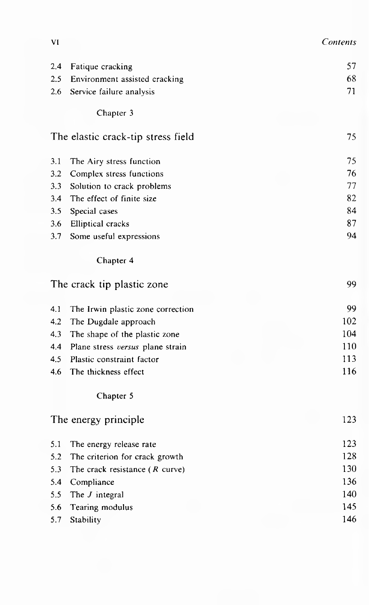| VI | Contents |
|----|----------|
|----|----------|

| 2.4 | Fatique cracking                   | 57  |
|-----|------------------------------------|-----|
| 2.5 | Environment assisted cracking      | 68  |
| 2.6 | Service failure analysis           | 71  |
|     | Chapter 3                          |     |
|     |                                    |     |
|     | The elastic crack-tip stress field | 75  |
| 3.1 | The Airy stress function           | 75  |
| 3.2 | Complex stress functions           | 76  |
| 3.3 | Solution to crack problems         | 77  |
| 3.4 | The effect of finite size          | 82  |
| 3.5 | Special cases                      | 84  |
| 3.6 | <b>Elliptical</b> cracks           | 87  |
| 3.7 | Some useful expressions            | 94  |
|     | Chapter 4                          |     |
|     | The crack tip plastic zone         | 99  |
| 4.1 | The Irwin plastic zone correction  | 99  |
| 4.2 | The Dugdale approach               | 102 |
| 4.3 | The shape of the plastic zone      | 104 |
| 4.4 | Plane stress versus plane strain   | 110 |
| 4.5 | Plastic constraint factor          | 113 |
| 4.6 | The thickness effect               | 116 |
|     | Chapter 5                          |     |
|     | The energy principle               | 123 |
| 5.1 | The energy release rate            | 123 |
| 5.2 | The criterion for crack growth     | 128 |
| 5.3 | The crack resistance $(R$ curve)   | 130 |
| 5.4 | Compliance                         | 136 |
| 5.5 | The $J$ integral                   | 140 |
| 5.6 | Tearing modulus                    | 145 |
| 5.7 | Stability                          | 146 |
|     |                                    |     |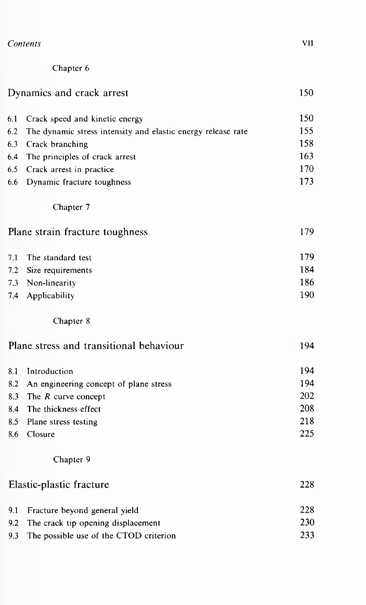| Contents | VIJ |
|----------|-----|
|          |     |

| Chapter 6 |  |
|-----------|--|
|-----------|--|

### Dynamics and crack arrest 150

| 6.1 Crack speed and kinetic energy                               | 150 |
|------------------------------------------------------------------|-----|
| 6.2 The dynamic stress intensity and elastic energy release rate | 155 |
| 6.3 Crack branching                                              | 158 |
| 6.4 The principles of crack arrest                               | 163 |
| 6.5 Crack arrest in practice                                     | 170 |
| 6.6 Dynamic fracture toughness                                   | 173 |

Chapter 7

| Plane strain fracture toughness |  | 179 |
|---------------------------------|--|-----|
|---------------------------------|--|-----|

|                       | 179                   |
|-----------------------|-----------------------|
| 7.2 Size requirements | 184                   |
| 7.3 Non-linearity     | 186                   |
| 7.4 Applicability     | 190                   |
|                       | 7.1 The standard test |

#### Chapter 8

|     | Plane stress and transitional behaviour    | 194 |
|-----|--------------------------------------------|-----|
| 8.1 | Introduction                               | 194 |
|     | 8.2 An engineering concept of plane stress | 194 |
|     | 8.3 The R curve concept                    | 202 |
|     | 8.4 The thickness effect                   | 208 |
|     | 8.5 Plane stress testing                   | 218 |
| 8.6 | Closure                                    | 225 |
|     | Chapter 9                                  |     |

| Elastic-plastic fracture |                                            | 228 |
|--------------------------|--------------------------------------------|-----|
|                          | 9.1 Fracture beyond general yield          | 228 |
|                          | 9.2 The crack tip opening displacement     | 230 |
|                          | 9.3 The possible use of the CTOD criterion | 233 |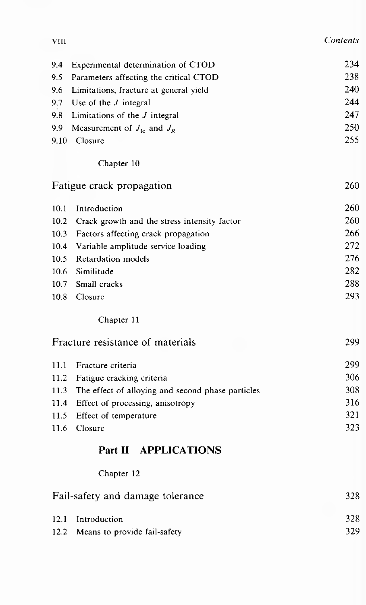| × |
|---|
|---|

| 9.4  | Experimental determination of CTOD                | 234 |
|------|---------------------------------------------------|-----|
| 9.5  | Parameters affecting the critical CTOD            | 238 |
| 9.6  | Limitations, fracture at general yield            | 240 |
| 9.7  | Use of the $J$ integral                           | 244 |
| 9.8  | Limitations of the $J$ integral                   | 247 |
| 9.9  | Measurement of $J_{1c}$ and $J_R$                 | 250 |
| 9.10 | Closure                                           | 255 |
|      | Chapter 10                                        |     |
|      | Fatigue crack propagation                         | 260 |
| 10.1 | Introduction                                      | 260 |
| 10.2 | Crack growth and the stress intensity factor      | 260 |
| 10.3 | Factors affecting crack propagation               | 266 |
| 10.4 | Variable amplitude service loading                | 272 |
| 10.5 | Retardation models                                | 276 |
| 10.6 | Similitude                                        | 282 |
| 10.7 | Small cracks                                      | 288 |
| 10.8 | Closure                                           | 293 |
|      | Chapter 11                                        |     |
|      | Fracture resistance of materials                  | 299 |
| 11.1 | Fracture criteria                                 | 299 |
| 11.2 | Fatigue cracking criteria                         | 306 |
| 11.3 | The effect of alloying and second phase particles | 308 |
| 11.4 | Effect of processing, anisotropy                  | 316 |
| 11.5 | Effect of temperature                             | 321 |
| 11.6 | Closure                                           | 323 |
|      | Part II APPLICATIONS                              |     |
|      | Chapter 12                                        |     |
|      | Fail-safety and damage tolerance                  | 328 |
| 12.1 | Introduction                                      | 328 |
| 12.2 | Means to provide fail-safety                      | 329 |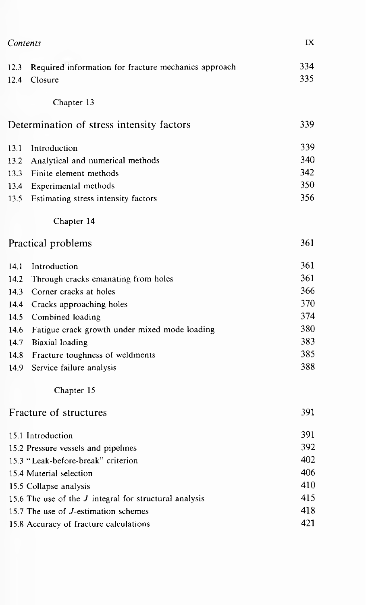| Contents                |                                                                 | IX         |
|-------------------------|-----------------------------------------------------------------|------------|
| 12.3<br>12.4            | Required information for fracture mechanics approach<br>Closure | 334<br>335 |
|                         | Chapter 13                                                      |            |
|                         | Determination of stress intensity factors                       | 339        |
| 13.1                    | Introduction                                                    | 339        |
| 13.2                    | Analytical and numerical methods                                | 340        |
| 13.3                    | Finite element methods                                          | 342        |
| 13.4                    | Experimental methods                                            | 350        |
| 13.5                    | Estimating stress intensity factors                             | 356        |
|                         | Chapter 14                                                      |            |
| Practical problems      |                                                                 | 361        |
| 14.1                    | Introduction                                                    | 361        |
| 14.2                    | Through cracks emanating from holes                             | 361        |
| 14.3                    | Corner cracks at holes                                          | 366        |
| 14.4                    | Cracks approaching holes                                        | 370        |
| 14.5                    | Combined loading                                                | 374        |
| 14.6                    | Fatigue crack growth under mixed mode loading                   | 380        |
| 14.7                    | Biaxial loading                                                 | 383        |
| 14.8                    | Fracture toughness of weldments                                 | 385        |
| 14.9                    | Service failure analysis                                        | 388        |
|                         | Chapter 15                                                      |            |
|                         | Fracture of structures                                          | 391        |
|                         | 15.1 Introduction                                               | 391        |
|                         | 15.2 Pressure vessels and pipelines                             | 392        |
|                         | 15.3 "Leak-before-break" criterion                              | 402        |
| 15.4 Material selection |                                                                 | 406        |
|                         | 15.5 Collapse analysis                                          | 410        |
|                         | 15.6 The use of the <i>J</i> integral for structural analysis   | 415        |
|                         | 15.7 The use of <i>J</i> -estimation schemes                    | 418        |
|                         | 15.8 Accuracy of fracture calculations                          | 421        |
|                         |                                                                 |            |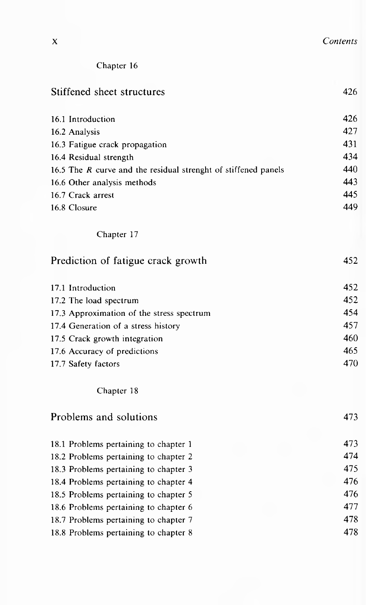| v<br>Λ | Contents |
|--------|----------|
|        |          |

| Chapter 16 |  |
|------------|--|
|------------|--|

| Stiffened sheet structures                                       | 426 |
|------------------------------------------------------------------|-----|
| 16.1 Introduction                                                | 426 |
| 16.2 Analysis                                                    | 427 |
| 16.3 Fatigue crack propagation                                   | 431 |
| 16.4 Residual strength                                           | 434 |
| 16.5 The $R$ curve and the residual strenght of stiffened panels | 440 |
| 16.6 Other analysis methods                                      | 443 |
| 16.7 Crack arrest                                                | 445 |
| 16.8 Closure                                                     | 449 |
| Chapter 17                                                       |     |
| Prediction of fatigue crack growth                               | 452 |
| 17.1 Introduction                                                | 452 |
| 17.2 The load spectrum                                           | 452 |
| 17.3 Approximation of the stress spectrum                        | 454 |
| 17.4 Generation of a stress history                              | 457 |
| 17.5 Crack growth integration                                    | 460 |
| 17.6 Accuracy of predictions                                     | 465 |
| 17.7 Safety factors                                              | 470 |
| Chapter 18                                                       |     |
| Problems and solutions                                           | 473 |
| 18.1 Problems pertaining to chapter 1                            | 473 |
| 18.2 Problems pertaining to chapter 2                            | 474 |
| 18.3 Problems pertaining to chapter 3                            | 475 |
| 18.4 Problems pertaining to chapter 4                            | 476 |
| 18.5 Problems pertaining to chapter 5                            | 476 |
| 18.6 Problems pertaining to chapter 6                            | 477 |
| 18.7 Problems pertaining to chapter 7                            | 478 |
| 18.8 Problems pertaining to chapter 8                            | 478 |